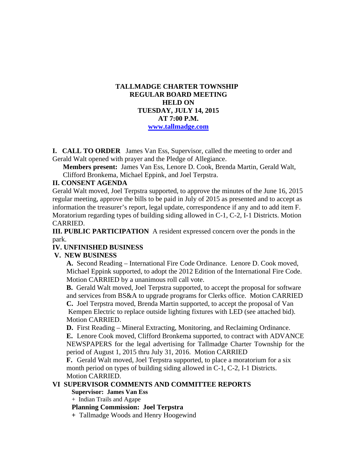### **TALLMADGE CHARTER TOWNSHIP REGULAR BOARD MEETING HELD ON TUESDAY, JULY 14, 2015 AT 7:00 P.M. www.tallmadge.com**

**I. CALL TO ORDER** James Van Ess, Supervisor, called the meeting to order and Gerald Walt opened with prayer and the Pledge of Allegiance.

**Members present:** James Van Ess, Lenore D. Cook, Brenda Martin, Gerald Walt, Clifford Bronkema, Michael Eppink, and Joel Terpstra.

#### **II. CONSENT AGENDA**

Gerald Walt moved, Joel Terpstra supported, to approve the minutes of the June 16, 2015 regular meeting, approve the bills to be paid in July of 2015 as presented and to accept as information the treasurer's report, legal update, correspondence if any and to add item F. Moratorium regarding types of building siding allowed in C-1, C-2, I-1 Districts. Motion CARRIED.

**III. PUBLIC PARTICIPATION** A resident expressed concern over the ponds in the park.

### **IV. UNFINISHED BUSINESS**

#### **V. NEW BUSINESS**

 **A.** Second Reading – International Fire Code Ordinance. Lenore D. Cook moved, Michael Eppink supported, to adopt the 2012 Edition of the International Fire Code. Motion CARRIED by a unanimous roll call vote.

 **B.** Gerald Walt moved, Joel Terpstra supported, to accept the proposal for software and services from BS&A to upgrade programs for Clerks office. Motion CARRIED **C.** Joel Terpstra moved, Brenda Martin supported, to accept the proposal of Van Kempen Electric to replace outside lighting fixtures with LED (see attached bid). Motion CARRIED.

**D.** First Reading – Mineral Extracting, Monitoring, and Reclaiming Ordinance. **E.** Lenore Cook moved, Clifford Bronkema supported, to contract with ADVANCE NEWSPAPERS for the legal advertising for Tallmadge Charter Township for the period of August 1, 2015 thru July 31, 2016. Motion CARRIED

**F.** Gerald Walt moved, Joel Terpstra supported, to place a moratorium for a six month period on types of building siding allowed in C-1, C-2, I-1 Districts. Motion CARRIED.

#### **VI SUPERVISOR COMMENTS AND COMMITTEE REPORTS**

 **Supervisor: James Van Ess** 

+ Indian Trails and Agape

**Planning Commission: Joel Terpstra** 

 **+** Tallmadge Woods and Henry Hoogewind